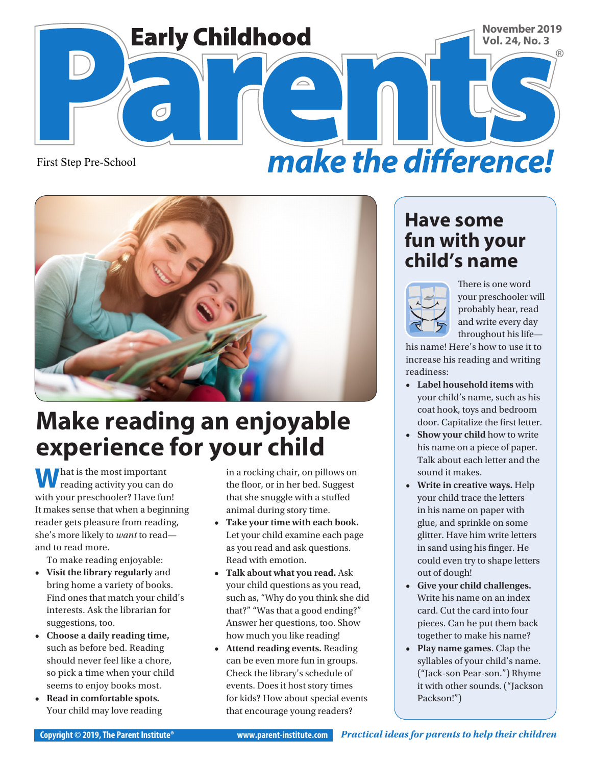

First Step Pre-School





# **Make reading an enjoyable experience for your child**

**W** hat is the most important<br>reading activity you can do with your preschooler? Have fun! It makes sense that when a beginning reader gets pleasure from reading, she's more likely to *want* to read and to read more.

To make reading enjoyable:

- **• Visit the library regularly** and bring home a variety of books. Find ones that match your child's interests. Ask the librarian for suggestions, too.
- **• Choose a daily reading time,**  such as before bed. Reading should never feel like a chore, so pick a time when your child seems to enjoy books most.
- **• Read in comfortable spots.**  Your child may love reading

in a rocking chair, on pillows on the floor, or in her bed. Suggest that she snuggle with a stuffed animal during story time.

- **• Take your time with each book.**  Let your child examine each page as you read and ask questions. Read with emotion.
- **• Talk about what you read.** Ask your child questions as you read, such as, "Why do you think she did that?" "Was that a good ending?" Answer her questions, too. Show how much you like reading!
- **• Attend reading events.** Reading can be even more fun in groups. Check the library's schedule of events. Does it host story times for kids? How about special events that encourage young readers?

#### **Have some fun with your child's name**



There is one word your preschooler will probably hear, read and write every day throughout his life—

his name! Here's how to use it to increase his reading and writing readiness:

- **• Label household items** with your child's name, such as his coat hook, toys and bedroom door. Capitalize the first letter.
- **• Show your child** how to write his name on a piece of paper. Talk about each letter and the sound it makes.
- **• Write in creative ways.** Help your child trace the letters in his name on paper with glue, and sprinkle on some glitter. Have him write letters in sand using his finger. He could even try to shape letters out of dough!
- **• Give your child challenges.**  Write his name on an index card. Cut the card into four pieces. Can he put them back together to make his name?
- **• Play name games**. Clap the syllables of your child's name. ("Jack-son Pear-son.") Rhyme it with other sounds. ("Jackson Packson!")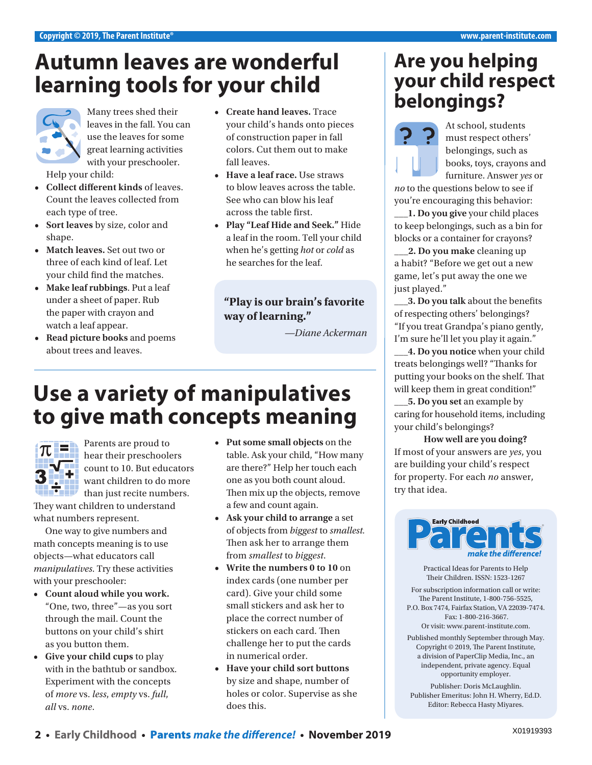# **Autumn leaves are wonderful learning tools for your child**



Many trees shed their leaves in the fall. You can use the leaves for some great learning activities with your preschooler. Help your child:

- **• Collect different kinds** of leaves. Count the leaves collected from each type of tree.
- **• Sort leaves** by size, color and shape.
- **• Match leaves.** Set out two or three of each kind of leaf. Let your child find the matches.
- **• Make leaf rubbings**. Put a leaf under a sheet of paper. Rub the paper with crayon and watch a leaf appear.
- **• Read picture books** and poems about trees and leaves.
- **• Create hand leaves.** Trace your child's hands onto pieces of construction paper in fall colors. Cut them out to make fall leaves.
- **• Have a leaf race.** Use straws to blow leaves across the table. See who can blow his leaf across the table first.
- **• Play "Leaf Hide and Seek."** Hide a leaf in the room. Tell your child when he's getting *hot* or *cold* as he searches for the leaf.

#### **"Play is our brain's favorite way of learning."**

*—Diane Ackerman*

# **Use a variety of manipulatives to give math concepts meaning**



Parents are proud to hear their preschoolers count to 10. But educators want children to do more than just recite numbers.

They want children to understand what numbers represent.

One way to give numbers and math concepts meaning is to use objects—what educators call *manipulatives*. Try these activities with your preschooler:

- **• Count aloud while you work.**  "One, two, three"—as you sort through the mail. Count the buttons on your child's shirt as you button them.
- **• Give your child cups** to play with in the bathtub or sandbox. Experiment with the concepts of *more* vs. *less*, *empty* vs. *full*, *all* vs. *none*.
- **• Put some small objects** on the table. Ask your child, "How many are there?" Help her touch each one as you both count aloud. Then mix up the objects, remove a few and count again.
- **• Ask your child to arrange** a set of objects from *biggest* to *smallest.* Then ask her to arrange them from *smallest* to *biggest*.
- **• Write the numbers 0 to 10** on index cards (one number per card). Give your child some small stickers and ask her to place the correct number of stickers on each card. Then challenge her to put the cards in numerical order.
- **• Have your child sort buttons**  by size and shape, number of holes or color. Supervise as she does this.

#### **Are you helping your child respect belongings?**



At school, students must respect others' belongings, such as books, toys, crayons and furniture. Answer *yes* or

*no* to the questions below to see if you're encouraging this behavior:

**\_\_\_1. Do you give** your child places to keep belongings, such as a bin for blocks or a container for crayons?

**\_\_\_2. Do you make** cleaning up a habit? "Before we get out a new game, let's put away the one we just played."

**\_\_\_3. Do you talk** about the benefits of respecting others' belongings? "If you treat Grandpa's piano gently, I'm sure he'll let you play it again."

**\_\_\_4. Do you notice** when your child treats belongings well? "Thanks for putting your books on the shelf. That will keep them in great condition!"

**\_\_\_5. Do you set** an example by caring for household items, including your child's belongings?

**How well are you doing?** If most of your answers are *yes*, you are building your child's respect for property. For each *no* answer, try that idea.



Practical Ideas for Parents to Help Their Children. ISSN: 1523-1267

For subscription information call or write: The Parent Institute, 1-800-756-5525, P.O. Box 7474, Fairfax Station, VA 22039-7474. Fax: 1-800-216-3667. Or visit: [www.parent-institute.com.](http://www.parent-institute.com)

Published monthly September through May. Copyright © 2019, The Parent Institute, a division of PaperClip Media, Inc., an independent, private agency. Equal opportunity employer.

Publisher: Doris McLaughlin. Publisher Emeritus: John H. Wherry, Ed.D. Editor: Rebecca Hasty Miyares.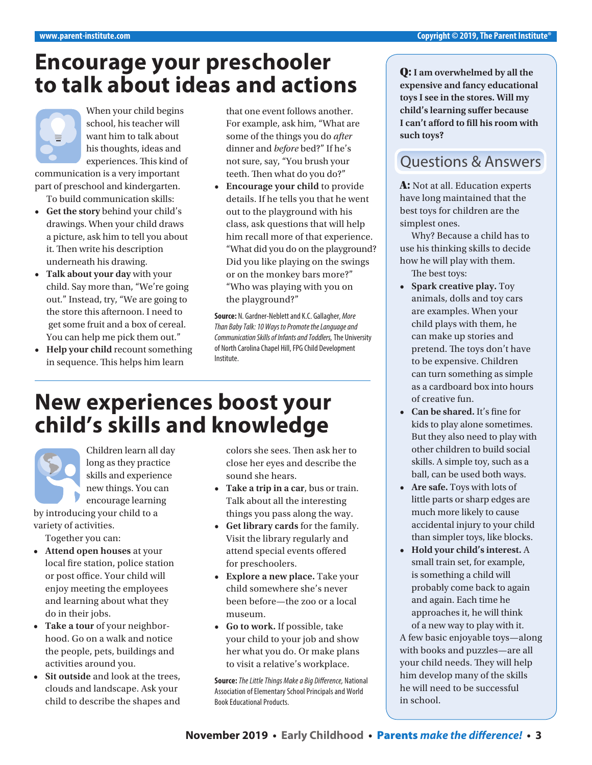### **Encourage your preschooler to talk about ideas and actions**



communication is a very important part of preschool and kindergarten. To build communication skills:

- **• Get the story** behind your child's drawings. When your child draws a picture, ask him to tell you about it. Then write his description underneath his drawing.
- **• Talk about your day** with your child. Say more than, "We're going out." Instead, try, "We are going to the store this afternoon. I need to get some fruit and a box of cereal. You can help me pick them out."
- **• Help your child** recount something in sequence. This helps him learn

that one event follows another. For example, ask him, "What are some of the things you do *after* dinner and *before* bed?" If he's not sure, say, "You brush your teeth. Then what do you do?"

**• Encourage your child** to provide details. If he tells you that he went out to the playground with his class, ask questions that will help him recall more of that experience. "What did you do on the playground? Did you like playing on the swings or on the monkey bars more?" "Who was playing with you on the playground?"

**Source:** N. Gardner-Neblett and K.C. Gallagher, *More Than Baby Talk: 10 Ways to Promote the Language and Communication Skills of Infants and Toddlers,* The University of North Carolina Chapel Hill, FPG Child Development Institute.

# **New experiences boost your child's skills and knowledge**

Children learn all day long as they practice skills and experience new things. You can encourage learning

by introducing your child to a variety of activities.

Together you can:

- **• Attend open houses** at your local fire station, police station or post office. Your child will enjoy meeting the employees and learning about what they do in their jobs.
- **• Take a tour** of your neighborhood. Go on a walk and notice the people, pets, buildings and activities around you.
- **• Sit outside** and look at the trees, clouds and landscape. Ask your child to describe the shapes and

colors she sees. Then ask her to close her eyes and describe the sound she hears.

- **• Take a trip in a car**, bus or train. Talk about all the interesting things you pass along the way.
- **• Get library cards** for the family. Visit the library regularly and attend special events offered for preschoolers.
- **• Explore a new place.** Take your child somewhere she's never been before—the zoo or a local museum.
- **• Go to work.** If possible, take your child to your job and show her what you do. Or make plans to visit a relative's workplace.

**Source:** *The Little Things Make a Big Difference,* National Association of Elementary School Principals and World Book Educational Products.

Q: **I am overwhelmed by all the expensive and fancy educational toys I see in the stores. Will my child's learning suffer because I can't afford to fill his room with such toys?** 

#### Questions & Answers

A: Not at all. Education experts have long maintained that the best toys for children are the simplest ones.

Why? Because a child has to use his thinking skills to decide how he will play with them. The best toys:

- **• Spark creative play.** Toy animals, dolls and toy cars are examples. When your child plays with them, he can make up stories and pretend. The toys don't have to be expensive. Children can turn something as simple as a cardboard box into hours of creative fun.
- **• Can be shared.** It's fine for kids to play alone sometimes. But they also need to play with other children to build social skills. A simple toy, such as a ball, can be used both ways.
- **• Are safe.** Toys with lots of little parts or sharp edges are much more likely to cause accidental injury to your child than simpler toys, like blocks.
- **• Hold your child's interest.** A small train set, for example, is something a child will probably come back to again and again. Each time he approaches it, he will think of a new way to play with it.

A few basic enjoyable toys—along with books and puzzles—are all your child needs. They will help him develop many of the skills he will need to be successful in school.